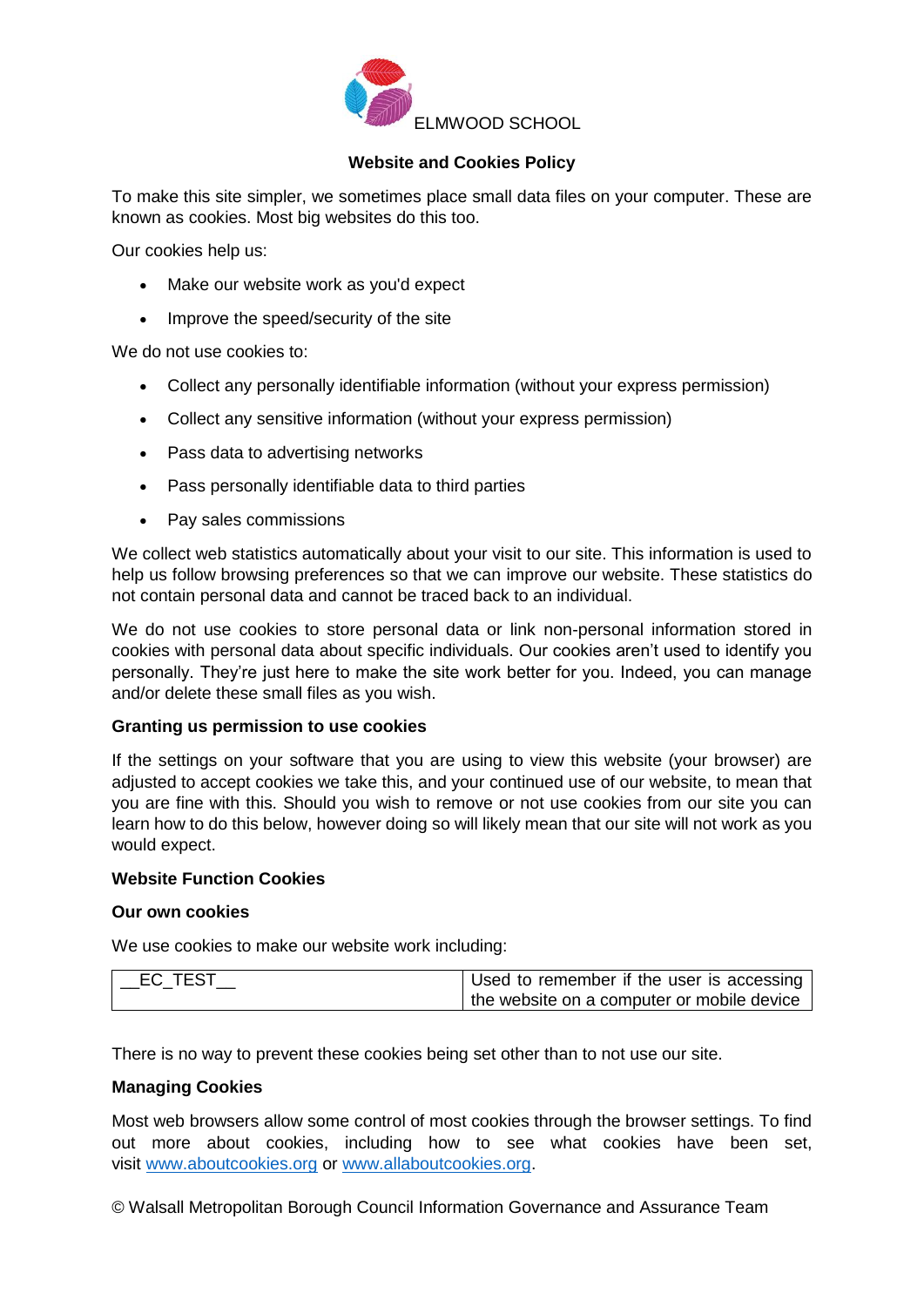

### **Website and Cookies Policy**

To make this site simpler, we sometimes place small data files on your computer. These are known as cookies. Most big websites do this too.

Our cookies help us:

- Make our website work as you'd expect
- Improve the speed/security of the site

We do not use cookies to:

- Collect any personally identifiable information (without your express permission)
- Collect any sensitive information (without your express permission)
- Pass data to advertising networks
- Pass personally identifiable data to third parties
- Pay sales commissions

We collect web statistics automatically about your visit to our site. This information is used to help us follow browsing preferences so that we can improve our website. These statistics do not contain personal data and cannot be traced back to an individual.

We do not use cookies to store personal data or link non-personal information stored in cookies with personal data about specific individuals. Our cookies aren't used to identify you personally. They're just here to make the site work better for you. Indeed, you can manage and/or delete these small files as you wish.

#### **Granting us permission to use cookies**

If the settings on your software that you are using to view this website (your browser) are adjusted to accept cookies we take this, and your continued use of our website, to mean that you are fine with this. Should you wish to remove or not use cookies from our site you can learn how to do this below, however doing so will likely mean that our site will not work as you would expect.

#### **Website Function Cookies**

#### **Our own cookies**

We use cookies to make our website work including:

| $\_EC\_TEST$ | Used to remember if the user is accessing  |
|--------------|--------------------------------------------|
|              | the website on a computer or mobile device |

There is no way to prevent these cookies being set other than to not use our site.

#### **Managing Cookies**

Most web browsers allow some control of most cookies through the browser settings. To find out more about cookies, including how to see what cookies have been set, visit [www.aboutcookies.org](http://www.aboutcookies.org/) or [www.allaboutcookies.org.](http://www.allaboutcookies.org/)

© Walsall Metropolitan Borough Council Information Governance and Assurance Team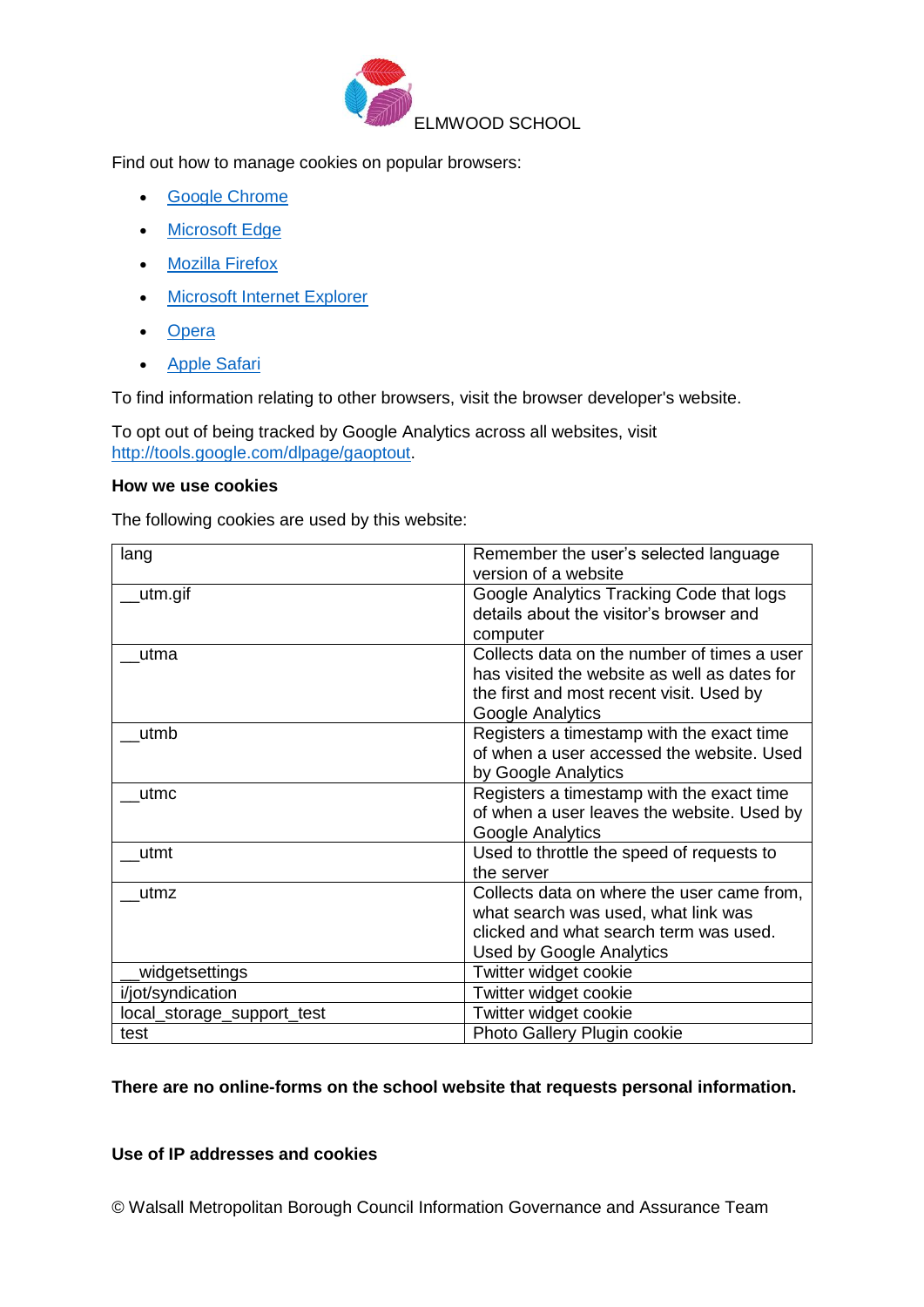

Find out how to manage cookies on popular browsers:

- [Google Chrome](https://support.google.com/accounts/answer/61416?co=GENIE.Platform%3DDesktop&hl=en)
- [Microsoft Edge](https://privacy.microsoft.com/en-us/windows-10-microsoft-edge-and-privacy)
- [Mozilla Firefox](https://support.mozilla.org/en-US/kb/enable-and-disable-cookies-website-preferences)
- [Microsoft Internet Explorer](https://support.microsoft.com/en-gb/help/17442/windows-internet-explorer-delete-manage-cookies)
- [Opera](https://www.opera.com/help/tutorials/security/privacy/)
- **•** [Apple Safari](https://support.apple.com/kb/ph21411?locale=en_US)

To find information relating to other browsers, visit the browser developer's website.

To opt out of being tracked by Google Analytics across all websites, visit [http://tools.google.com/dlpage/gaoptout.](http://tools.google.com/dlpage/gaoptout)

### **How we use cookies**

The following cookies are used by this website:

| lang                       | Remember the user's selected language                                                                                                                          |
|----------------------------|----------------------------------------------------------------------------------------------------------------------------------------------------------------|
|                            | version of a website                                                                                                                                           |
| utm.gif                    | Google Analytics Tracking Code that logs<br>details about the visitor's browser and<br>computer                                                                |
| utma                       | Collects data on the number of times a user<br>has visited the website as well as dates for<br>the first and most recent visit. Used by<br>Google Analytics    |
| utmb                       | Registers a timestamp with the exact time<br>of when a user accessed the website. Used<br>by Google Analytics                                                  |
| utmc                       | Registers a timestamp with the exact time<br>of when a user leaves the website. Used by<br>Google Analytics                                                    |
| utmt                       | Used to throttle the speed of requests to<br>the server                                                                                                        |
| utmz                       | Collects data on where the user came from,<br>what search was used, what link was<br>clicked and what search term was used.<br><b>Used by Google Analytics</b> |
| widgetsettings             | Twitter widget cookie                                                                                                                                          |
| i/jot/syndication          | Twitter widget cookie                                                                                                                                          |
| local_storage_support_test | Twitter widget cookie                                                                                                                                          |
| test                       | Photo Gallery Plugin cookie                                                                                                                                    |

### **There are no online-forms on the school website that requests personal information.**

# **Use of IP addresses and cookies**

© Walsall Metropolitan Borough Council Information Governance and Assurance Team